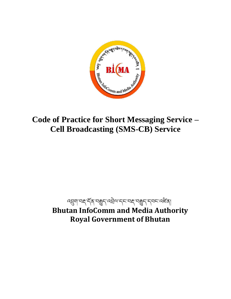

# **Code of Practice for Short Messaging Service – Cell Broadcasting (SMS-CB) Service**

# ব্র্ম্ব্রণ'বহ্ন'র্ম্ভুন'ব্রম্ব্রম'ন্দ'ব্রুন'ন্দ'ব্রাইক্ **Bhutan InfoComm and Media Authority Royal Government of Bhutan**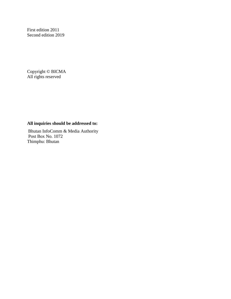First edition 2011 Second edition 2019

Copyright © BICMA All rights reserved

# **All inquiries should be addressed to:**

Bhutan InfoComm & Media Authority Post Box No. 1072 Thimphu: Bhutan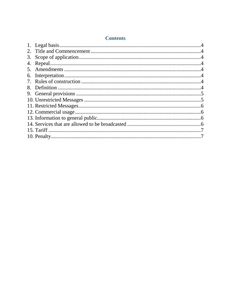| 3. |  |
|----|--|
| 4. |  |
|    |  |
|    |  |
| 7. |  |
| 8. |  |
|    |  |
|    |  |
|    |  |
|    |  |
|    |  |
|    |  |
|    |  |
|    |  |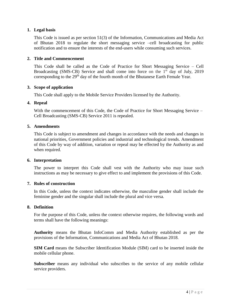# <span id="page-3-0"></span>**1. Legal basis**

This Code is issued as per section 51(3) of the Information, Communications and Media Act of Bhutan 2018 to regulate the short messaging service –cell broadcasting for public notification and to ensure the interests of the end-users while consuming such services.

# <span id="page-3-1"></span>**2. Title and Commencement**

This Code shall be called as the Code of Practice for Short Messaging Service – Cell Broadcasting (SMS-CB) Service and shall come into force on the  $1<sup>st</sup>$  day of July, 2019 corresponding to the 29<sup>th</sup> day of the fourth month of the Bhutanese Earth Female Year.

## <span id="page-3-2"></span>**3. Scope of application**

This Code shall apply to the Mobile Service Providers licensed by the Authority.

## <span id="page-3-3"></span>**4. Repeal**

With the commencement of this Code, the Code of Practice for Short Messaging Service – Cell Broadcasting (SMS-CB) Service 2011 is repealed.

## <span id="page-3-4"></span>**5. Amendments**

This Code is subject to amendment and changes in accordance with the needs and changes in national priorities, Government policies and industrial and technological trends. Amendment of this Code by way of addition, variation or repeal may be effected by the Authority as and when required.

## <span id="page-3-5"></span>**6. Interpretation**

The power to interpret this Code shall vest with the Authority who may issue such instructions as may be necessary to give effect to and implement the provisions of this Code.

# <span id="page-3-6"></span>**7. Rules of construction**

In this Code, unless the context indicates otherwise, the masculine gender shall include the feminine gender and the singular shall include the plural and vice versa.

# <span id="page-3-7"></span>**8. Definition**

For the purpose of this Code, unless the context otherwise requires, the following words and terms shall have the following meanings:

**Authority** means the Bhutan InfoComm and Media Authority established as per the provisions of the Information, Communications and Media Act of Bhutan 2018.

**SIM Card** means the Subscriber Identification Module (SIM) card to be inserted inside the mobile cellular phone.

**Subscriber** means any individual who subscribes to the service of any mobile cellular service providers.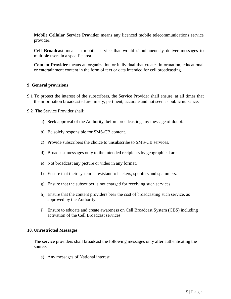**Mobile Cellular Service Provider** means any licenced mobile telecommunications service provider.

**Cell Broadcast** means a mobile service that would simultaneously deliver messages to multiple users in a specific area*.*

**Content Provider** means an organization or individual that creates information, educational or entertainment content in the form of text or data intended for cell broadcasting.

# <span id="page-4-0"></span>**9. General provisions**

- 9.1 To protect the interest of the subscribers, the Service Provider shall ensure, at all times that the information broadcasted are timely, pertinent, accurate and not seen as public nuisance.
- 9.2 The Service Provider shall:
	- a) Seek approval of the Authority, before broadcasting any message of doubt.
	- b) Be solely responsible for SMS-CB content.
	- c) Provide subscribers the choice to unsubscribe to SMS-CB services.
	- d) Broadcast messages only to the intended recipients by geographical area.
	- e) Not broadcast any picture or video in any format.
	- f) Ensure that their system is resistant to hackers, spoofers and spammers.
	- g) Ensure that the subscriber is not charged for receiving such services.
	- h) Ensure that the content providers bear the cost of broadcasting such service, as approved by the Authority.
	- i) Ensure to educate and create awareness on Cell Broadcast System (CBS) including activation of the Cell Broadcast services.

## <span id="page-4-1"></span>**10. Unrestricted Messages**

The service providers shall broadcast the following messages only after authenticating the source:

a) Any messages of National interest.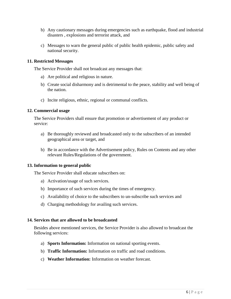- b) Any cautionary messages during emergencies such as earthquake, flood and industrial disasters , explosions and terrorist attack, and
- c) Messages to warn the general public of public health epidemic, public safety and national security.

# <span id="page-5-0"></span>**11. Restricted Messages**

The Service Provider shall not broadcast any messages that:

- a) Are political and religious in nature.
- b) Create social disharmony and is detrimental to the peace, stability and well being of the nation.
- c) Incite religious, ethnic, regional or communal conflicts.

#### <span id="page-5-1"></span>**12. Commercial usage**

The Service Providers shall ensure that promotion or advertisement of any product or service:

- a) Be thoroughly reviewed and broadcasted only to the subscribers of an intended geographical area or target, and
- b) Be in accordance with the Advertisement policy, Rules on Contents and any other relevant Rules/Regulations of the government.

## <span id="page-5-2"></span>**13. Information to general public**

The Service Provider shall educate subscribers on:

- a) Activation/usage of such services.
- b) Importance of such services during the times of emergency.
- c) Availability of choice to the subscribers to un-subscribe such services and
- d) Charging methodology for availing such services.

#### <span id="page-5-3"></span>**14. Services that are allowed to be broadcasted**

Besides above mentioned services, the Service Provider is also allowed to broadcast the following services:

- a) **Sports Information:** Information on national sporting events.
- b) **Traffic Information:** Information on traffic and road conditions.
- c) **Weather Information:** Information on weather forecast.